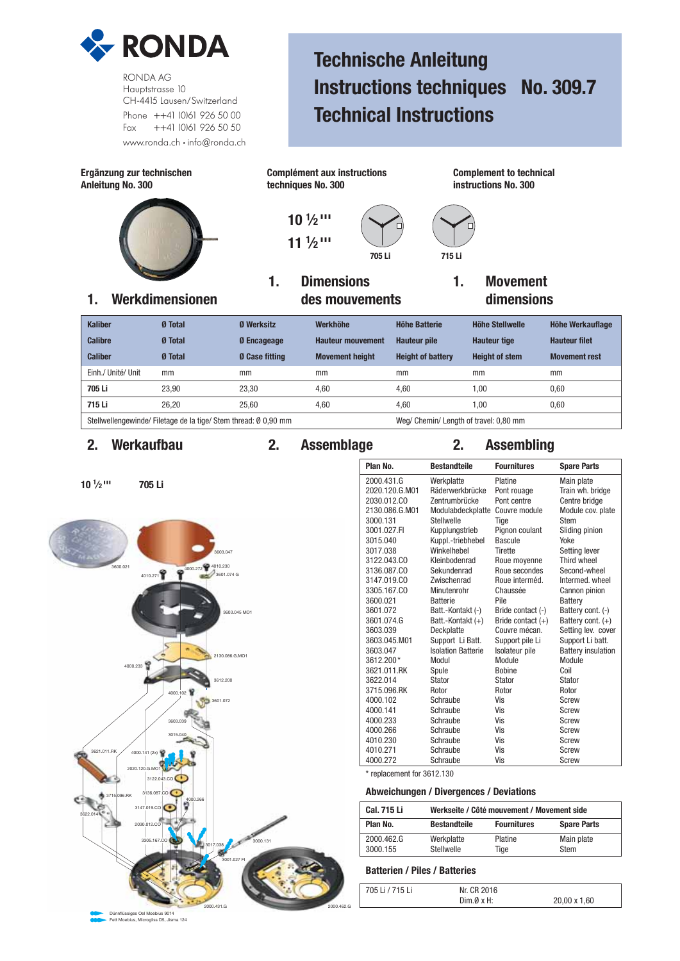

RONDA AG Hauptstrasse 10 CH-4415 Lausen/Switzerland Phone ++41 (0)61 926 50 00 Fax ++41 (0)61 926 50 50 www.ronda.ch • info@ronda.ch

# **Technische Anleitung Instructions techniques No. 309.7 Technical Instructions**



## **2. Werkaufbau 2. Assemblage 2. Assembling**



| J              |                           |                     |                           |
|----------------|---------------------------|---------------------|---------------------------|
| Plan No.       | <b>Bestandteile</b>       | <b>Fournitures</b>  | <b>Spare Parts</b>        |
| 2000.431.G     | Werkplatte                | Platine             | Main plate                |
| 2020.120.G.M01 | Räderwerkbrücke           | Pont rouage         | Train wh. bridge          |
| 2030.012.CO    | Zentrumbrücke             | Pont centre         | Centre bridge             |
| 2130.086.G.M01 | Modulabdeckplatte         | Couvre module       | Module cov. plate         |
| 3000.131       | Stellwelle                | Tige                | <b>Stem</b>               |
| 3001.027.FI    | Kupplungstrieb            | Pignon coulant      | Sliding pinion            |
| 3015.040       | Kuppl.-triebhebel         | Bascule             | Yoke                      |
| 3017.038       | Winkelhebel               | <b>Tirette</b>      | Setting lever             |
| 3122.043.CO    | Kleinbodenrad             | Roue moyenne        | Third wheel               |
| 3136,087.CO    | Sekundenrad               | Roue secondes       | Second-wheel              |
| 3147.019.CO    | Zwischenrad               | Roue interméd.      | Intermed, wheel           |
| 3305.167.CO    | Minutenrohr               | Chaussée            | Cannon pinion             |
| 3600.021       | <b>Batterie</b>           | Pile                | <b>Battery</b>            |
| 3601.072       | Batt.-Kontakt (-)         | Bride contact (-)   | Battery cont. (-)         |
| 3601.074.G     | Batt.-Kontakt (+)         | Bride contact $(+)$ | Battery cont. $(+)$       |
| 3603.039       | Deckplatte                | Couvre mécan.       | Setting lev. cover        |
| 3603.045.M01   | Support Li Batt.          | Support pile Li     | Support Li batt.          |
| 3603.047       | <b>Isolation Batterie</b> | Isolateur pile      | <b>Battery insulation</b> |
| 3612.200*      | Modul                     | Module              | Module                    |
| 3621.011.RK    | Spule                     | <b>Bobine</b>       | Coil                      |
| 3622.014       | Stator                    | Stator              | <b>Stator</b>             |
| 3715.096.RK    | Rotor                     | Rotor               | Rotor                     |
| 4000.102       | Schraube                  | Vis                 | Screw                     |
| 4000.141       | Schraube                  | Vis                 | Screw                     |
| 4000.233       | Schraube                  | Vis                 | Screw                     |
| 4000.266       | Schraube                  | Vis                 | Screw                     |
| 4010.230       | Schraube                  | Vis                 | Screw                     |
| 4010.271       | Schraube                  | Vis                 | Screw                     |
| 4000.272       | Schraube                  | Vis                 | <b>Screw</b>              |

\* replacement for 3612.130

### **Abweichungen / Divergences / Deviations**

| <b>Cal. 715 Li</b> | Werkseite / Côté mouvement / Movement side |                    |                    |  |
|--------------------|--------------------------------------------|--------------------|--------------------|--|
| Plan No.           | <b>Bestandteile</b>                        | <b>Fournitures</b> | <b>Spare Parts</b> |  |
| 2000.462.G         | Werkplatte                                 | Platine            | Main plate         |  |
| 3000.155           | Stellwelle                                 | Tige               | <b>Stem</b>        |  |

### **Batterien / Piles / Batteries**

| 705 Li / 715 Li | Nr. CR 2016 |              |
|-----------------|-------------|--------------|
|                 | Dim.0xH.    | 20,00 x 1,60 |

Fett Moebius, Microgliss D5, Jisma 124